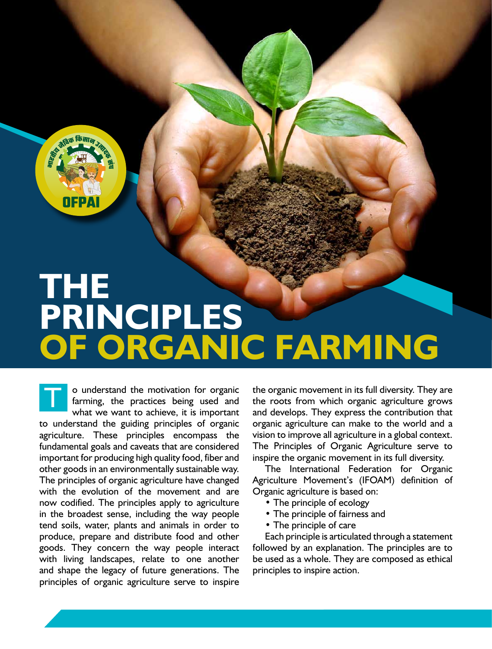

# **THE PRINCIPLES OF ORGANIC FARMING**

o understand the motivation for organic farming, the practices being used and what we want to achieve, it is important to understand the guiding principles of organic agriculture. These principles encompass the fundamental goals and caveats that are considered important for producing high quality food, fiber and other goods in an environmentally sustainable way. The principles of organic agriculture have changed with the evolution of the movement and are now codified. The principles apply to agriculture in the broadest sense, including the way people tend soils, water, plants and animals in order to produce, prepare and distribute food and other goods. They concern the way people interact with living landscapes, relate to one another and shape the legacy of future generations. The principles of organic agriculture serve to inspire T

the organic movement in its full diversity. They are the roots from which organic agriculture grows and develops. They express the contribution that organic agriculture can make to the world and a vision to improve all agriculture in a global context. The Principles of Organic Agriculture serve to inspire the organic movement in its full diversity.

The International Federation for Organic Agriculture Movement's (IFOAM) definition of Organic agriculture is based on:

- The principle of ecology
- The principle of fairness and
- The principle of care

Each principle is articulated through a statement followed by an explanation. The principles are to be used as a whole. They are composed as ethical principles to inspire action.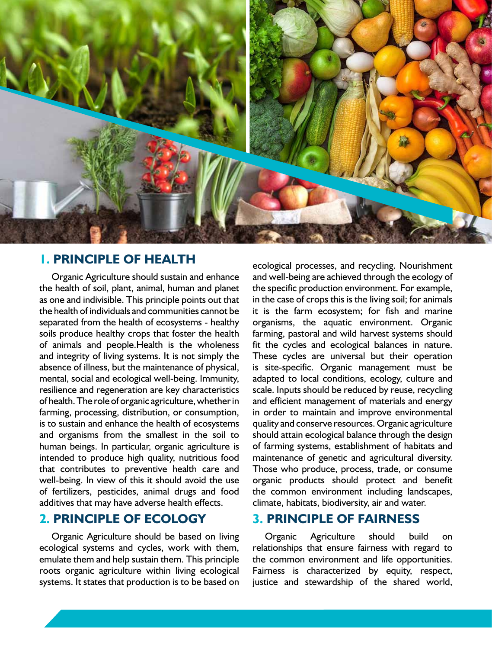

## **1. Principle of health**

Organic Agriculture should sustain and enhance the health of soil, plant, animal, human and planet as one and indivisible. This principle points out that the health of individuals and communities cannot be separated from the health of ecosystems - healthy soils produce healthy crops that foster the health of animals and people.Health is the wholeness and integrity of living systems. It is not simply the absence of illness, but the maintenance of physical, mental, social and ecological well-being. Immunity, resilience and regeneration are key characteristics of health. The role of organic agriculture, whether in farming, processing, distribution, or consumption, is to sustain and enhance the health of ecosystems and organisms from the smallest in the soil to human beings. In particular, organic agriculture is intended to produce high quality, nutritious food that contributes to preventive health care and well-being. In view of this it should avoid the use of fertilizers, pesticides, animal drugs and food additives that may have adverse health effects.

## **2. Principle of ecology**

Organic Agriculture should be based on living ecological systems and cycles, work with them, emulate them and help sustain them. This principle roots organic agriculture within living ecological systems. It states that production is to be based on

ecological processes, and recycling. Nourishment and well-being are achieved through the ecology of the specific production environment. For example, in the case of crops this is the living soil; for animals it is the farm ecosystem; for fish and marine organisms, the aquatic environment. Organic farming, pastoral and wild harvest systems should fit the cycles and ecological balances in nature. These cycles are universal but their operation is site-specific. Organic management must be adapted to local conditions, ecology, culture and scale. Inputs should be reduced by reuse, recycling and efficient management of materials and energy in order to maintain and improve environmental quality and conserve resources. Organic agriculture should attain ecological balance through the design of farming systems, establishment of habitats and maintenance of genetic and agricultural diversity. Those who produce, process, trade, or consume organic products should protect and benefit the common environment including landscapes, climate, habitats, biodiversity, air and water.

## **3. Principle of fairness**

Organic Agriculture should build on relationships that ensure fairness with regard to the common environment and life opportunities. Fairness is characterized by equity, respect, justice and stewardship of the shared world,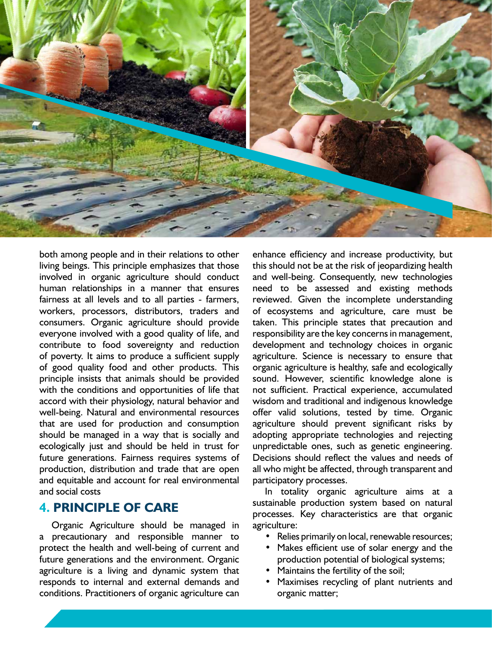

both among people and in their relations to other living beings. This principle emphasizes that those involved in organic agriculture should conduct human relationships in a manner that ensures fairness at all levels and to all parties - farmers, workers, processors, distributors, traders and consumers. Organic agriculture should provide everyone involved with a good quality of life, and contribute to food sovereignty and reduction of poverty. It aims to produce a sufficient supply of good quality food and other products. This principle insists that animals should be provided with the conditions and opportunities of life that accord with their physiology, natural behavior and well-being. Natural and environmental resources that are used for production and consumption should be managed in a way that is socially and ecologically just and should be held in trust for future generations. Fairness requires systems of production, distribution and trade that are open and equitable and account for real environmental and social costs

## **4. Principle of care**

Organic Agriculture should be managed in a precautionary and responsible manner to protect the health and well-being of current and future generations and the environment. Organic agriculture is a living and dynamic system that responds to internal and external demands and conditions. Practitioners of organic agriculture can

enhance efficiency and increase productivity, but this should not be at the risk of jeopardizing health and well-being. Consequently, new technologies need to be assessed and existing methods reviewed. Given the incomplete understanding of ecosystems and agriculture, care must be taken. This principle states that precaution and responsibility are the key concerns in management, development and technology choices in organic agriculture. Science is necessary to ensure that organic agriculture is healthy, safe and ecologically sound. However, scientific knowledge alone is not sufficient. Practical experience, accumulated wisdom and traditional and indigenous knowledge offer valid solutions, tested by time. Organic agriculture should prevent significant risks by adopting appropriate technologies and rejecting unpredictable ones, such as genetic engineering. Decisions should reflect the values and needs of all who might be affected, through transparent and participatory processes.

In totality organic agriculture aims at a sustainable production system based on natural processes. Key characteristics are that organic agriculture:

- Relies primarily on local, renewable resources;
- Makes efficient use of solar energy and the production potential of biological systems;
- Maintains the fertility of the soil;
- Maximises recycling of plant nutrients and organic matter;